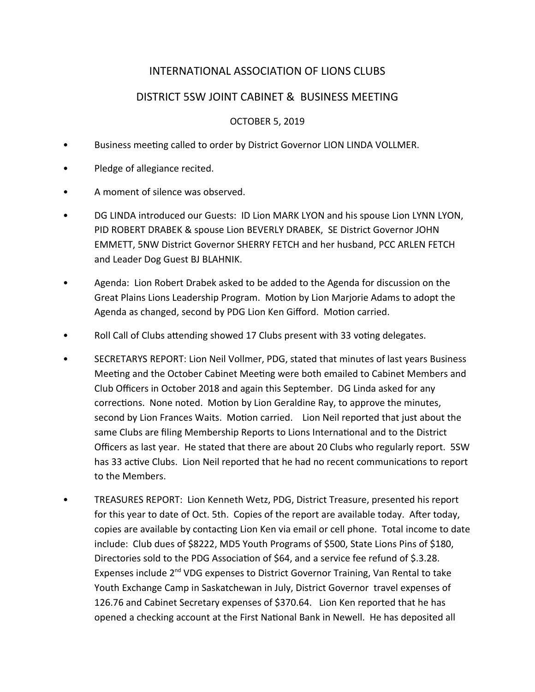# INTERNATIONAL ASSOCIATION OF LIONS CLUBS

# DISTRICT 5SW JOINT CABINET & BUSINESS MEETING

### OCTOBER 5, 2019

- Business meeting called to order by District Governor LION LINDA VOLLMER.
- Pledge of allegiance recited.
- A moment of silence was observed.
- DG LINDA introduced our Guests: ID Lion MARK LYON and his spouse Lion LYNN LYON, PID ROBERT DRABEK & spouse Lion BEVERLY DRABEK, SE District Governor JOHN EMMETT, 5NW District Governor SHERRY FETCH and her husband, PCC ARLEN FETCH and Leader Dog Guest BJ BLAHNIK.
- Agenda: Lion Robert Drabek asked to be added to the Agenda for discussion on the Great Plains Lions Leadership Program. Motion by Lion Marjorie Adams to adopt the Agenda as changed, second by PDG Lion Ken Gifford. Motion carried.
- Roll Call of Clubs attending showed 17 Clubs present with 33 voting delegates.
- SECRETARYS REPORT: Lion Neil Vollmer, PDG, stated that minutes of last years Business Meeting and the October Cabinet Meeting were both emailed to Cabinet Members and Club Officers in October 2018 and again this September. DG Linda asked for any corrections. None noted. Motion by Lion Geraldine Ray, to approve the minutes, second by Lion Frances Waits. Motion carried. Lion Neil reported that just about the same Clubs are filing Membership Reports to Lions International and to the District Officers as last year. He stated that there are about 20 Clubs who regularly report. 5SW has 33 active Clubs. Lion Neil reported that he had no recent communications to report to the Members.
- TREASURES REPORT: Lion Kenneth Wetz, PDG, District Treasure, presented his report for this year to date of Oct. 5th. Copies of the report are available today. After today, copies are available by contacting Lion Ken via email or cell phone. Total income to date include: Club dues of \$8222, MD5 Youth Programs of \$500, State Lions Pins of \$180, Directories sold to the PDG Association of \$64, and a service fee refund of \$.3.28. Expenses include 2<sup>nd</sup> VDG expenses to District Governor Training, Van Rental to take Youth Exchange Camp in Saskatchewan in July, District Governor travel expenses of 126.76 and Cabinet Secretary expenses of \$370.64. Lion Ken reported that he has opened a checking account at the First National Bank in Newell. He has deposited all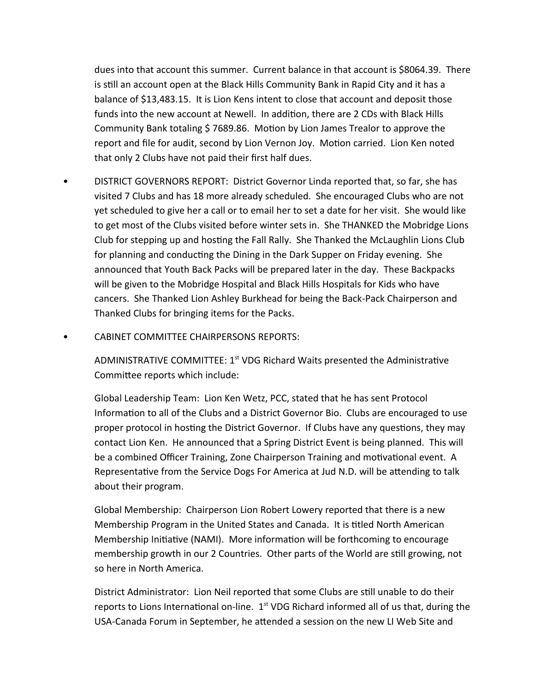dues into that account this summer. Current balance in that account is \$8064.39. There is still an account open at the Black Hills Community Bank in Rapid City and it has a balance of \$13,483.15. It is Lion Kens intent to close that account and deposit those funds into the new account at Newell. In addition, there are 2 CDs with Black Hills Community Bank totaling \$ 7689.86. Motion by Lion James Trealor to approve the report and file for audit, second by Lion Vernon Joy. Motion carried. Lion Ken noted that only 2 Clubs have not paid their first half dues.

- DISTRICT GOVERNORS REPORT: District Governor Linda reported that, so far, she has visited 7 Clubs and has 18 more already scheduled. She encouraged Clubs who are not yet scheduled to give her a call or to email her to set a date for her visit. She would like to get most of the Clubs visited before winter sets in. She THANKED the Mobridge Lions Club for stepping up and hosting the Fall Rally. She Thanked the McLaughlin Lions Club for planning and conducting the Dining in the Dark Supper on Friday evening. She announced that Youth Back Packs will be prepared later in the day. These Backpacks will be given to the Mobridge Hospital and Black Hills Hospitals for Kids who have cancers. She Thanked Lion Ashley Burkhead for being the Back-Pack Chairperson and Thanked Clubs for bringing items for the Packs.
- CABINET COMMITTEE CHAIRPERSONS REPORTS:

ADMINISTRATIVE COMMITTEE:  $1<sup>st</sup>$  VDG Richard Waits presented the Administrative Committee reports which include:

Global Leadership Team: Lion Ken Wetz, PCC, stated that he has sent Protocol Information to all of the Clubs and a District Governor Bio. Clubs are encouraged to use proper protocol in hosting the District Governor. If Clubs have any questions, they may contact Lion Ken. He announced that a Spring District Event is being planned. This will be a combined Officer Training, Zone Chairperson Training and motivational event. A Representative from the Service Dogs For America at Jud N.D. will be attending to talk about their program.

Global Membership: Chairperson Lion Robert Lowery reported that there is a new Membership Program in the United States and Canada. It is titled North American Membership Initiative (NAMI). More information will be forthcoming to encourage membership growth in our 2 Countries. Other parts of the World are still growing, not so here in North America.

District Administrator: Lion Neil reported that some Clubs are still unable to do their reports to Lions International on-line.  $1<sup>st</sup>$  VDG Richard informed all of us that, during the USA-Canada Forum in September, he attended a session on the new LI Web Site and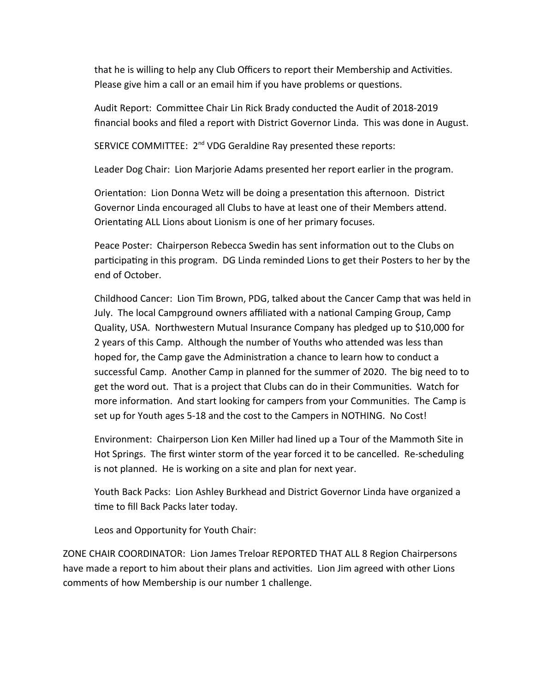that he is willing to help any Club Officers to report their Membership and Activities. Please give him a call or an email him if you have problems or questions.

Audit Report: Committee Chair Lin Rick Brady conducted the Audit of 2018-2019 financial books and filed a report with District Governor Linda. This was done in August.

SERVICE COMMITTEE: 2<sup>nd</sup> VDG Geraldine Ray presented these reports:

Leader Dog Chair: Lion Marjorie Adams presented her report earlier in the program.

Orientation: Lion Donna Wetz will be doing a presentation this afternoon. District Governor Linda encouraged all Clubs to have at least one of their Members attend. Orientating ALL Lions about Lionism is one of her primary focuses.

Peace Poster: Chairperson Rebecca Swedin has sent information out to the Clubs on participating in this program. DG Linda reminded Lions to get their Posters to her by the end of October.

Childhood Cancer: Lion Tim Brown, PDG, talked about the Cancer Camp that was held in July. The local Campground owners affiliated with a national Camping Group, Camp Quality, USA. Northwestern Mutual Insurance Company has pledged up to \$10,000 for 2 years of this Camp. Although the number of Youths who attended was less than hoped for, the Camp gave the Administration a chance to learn how to conduct a successful Camp. Another Camp in planned for the summer of 2020. The big need to to get the word out. That is a project that Clubs can do in their Communities. Watch for more information. And start looking for campers from your Communities. The Camp is set up for Youth ages 5-18 and the cost to the Campers in NOTHING. No Cost!

Environment: Chairperson Lion Ken Miller had lined up a Tour of the Mammoth Site in Hot Springs. The first winter storm of the year forced it to be cancelled. Re-scheduling is not planned. He is working on a site and plan for next year.

Youth Back Packs: Lion Ashley Burkhead and District Governor Linda have organized a time to fill Back Packs later today.

Leos and Opportunity for Youth Chair:

ZONE CHAIR COORDINATOR: Lion James Treloar REPORTED THAT ALL 8 Region Chairpersons have made a report to him about their plans and activities. Lion Jim agreed with other Lions comments of how Membership is our number 1 challenge.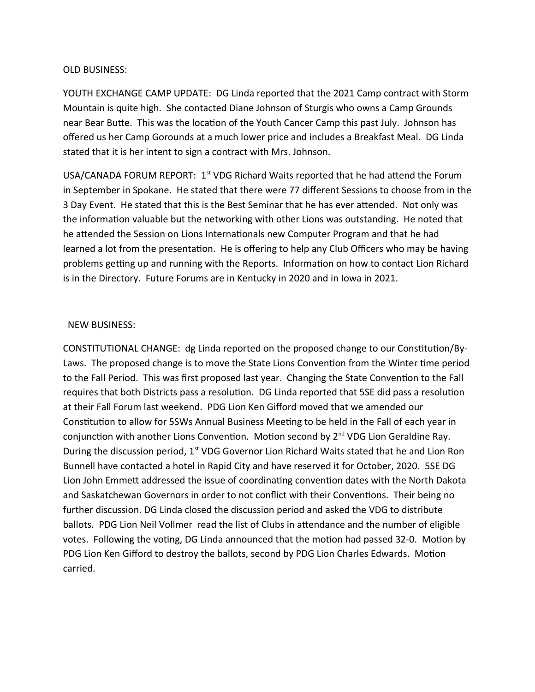#### OLD BUSINESS:

YOUTH EXCHANGE CAMP UPDATE: DG Linda reported that the 2021 Camp contract with Storm Mountain is quite high. She contacted Diane Johnson of Sturgis who owns a Camp Grounds near Bear Butte. This was the location of the Youth Cancer Camp this past July. Johnson has offered us her Camp Gorounds at a much lower price and includes a Breakfast Meal. DG Linda stated that it is her intent to sign a contract with Mrs. Johnson.

USA/CANADA FORUM REPORT:  $1<sup>st</sup>$  VDG Richard Waits reported that he had attend the Forum in September in Spokane. He stated that there were 77 different Sessions to choose from in the 3 Day Event. He stated that this is the Best Seminar that he has ever attended. Not only was the information valuable but the networking with other Lions was outstanding. He noted that he attended the Session on Lions Internationals new Computer Program and that he had learned a lot from the presentation. He is offering to help any Club Officers who may be having problems getting up and running with the Reports. Information on how to contact Lion Richard is in the Directory. Future Forums are in Kentucky in 2020 and in Iowa in 2021.

#### NEW BUSINESS:

CONSTITUTIONAL CHANGE: dg Linda reported on the proposed change to our Constitution/By-Laws. The proposed change is to move the State Lions Convention from the Winter time period to the Fall Period. This was first proposed last year. Changing the State Convention to the Fall requires that both Districts pass a resolution. DG Linda reported that 5SE did pass a resolution at their Fall Forum last weekend. PDG Lion Ken Gifford moved that we amended our Constitution to allow for 5SWs Annual Business Meeting to be held in the Fall of each year in conjunction with another Lions Convention. Motion second by 2<sup>nd</sup> VDG Lion Geraldine Ray. During the discussion period, 1<sup>st</sup> VDG Governor Lion Richard Waits stated that he and Lion Ron Bunnell have contacted a hotel in Rapid City and have reserved it for October, 2020. 5SE DG Lion John Emmett addressed the issue of coordinating convention dates with the North Dakota and Saskatchewan Governors in order to not conflict with their Conventions. Their being no further discussion. DG Linda closed the discussion period and asked the VDG to distribute ballots. PDG Lion Neil Vollmer read the list of Clubs in attendance and the number of eligible votes. Following the voting, DG Linda announced that the motion had passed 32-0. Motion by PDG Lion Ken Gifford to destroy the ballots, second by PDG Lion Charles Edwards. Motion carried.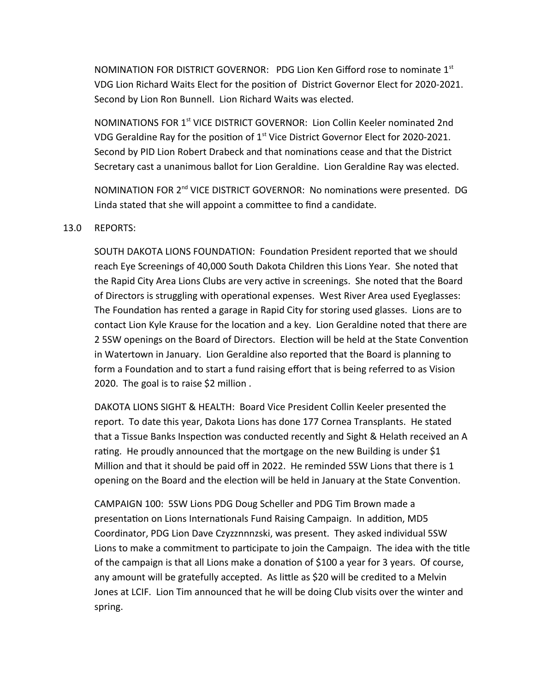NOMINATION FOR DISTRICT GOVERNOR: PDG Lion Ken Gifford rose to nominate 1st VDG Lion Richard Waits Elect for the position of District Governor Elect for 2020-2021. Second by Lion Ron Bunnell. Lion Richard Waits was elected.

NOMINATIONS FOR 1st VICE DISTRICT GOVERNOR: Lion Collin Keeler nominated 2nd VDG Geraldine Ray for the position of  $1<sup>st</sup>$  Vice District Governor Elect for 2020-2021. Second by PID Lion Robert Drabeck and that nominations cease and that the District Secretary cast a unanimous ballot for Lion Geraldine. Lion Geraldine Ray was elected.

NOMINATION FOR 2<sup>nd</sup> VICE DISTRICT GOVERNOR: No nominations were presented. DG Linda stated that she will appoint a committee to find a candidate.

#### 13.0 REPORTS:

SOUTH DAKOTA LIONS FOUNDATION: Foundation President reported that we should reach Eye Screenings of 40,000 South Dakota Children this Lions Year. She noted that the Rapid City Area Lions Clubs are very active in screenings. She noted that the Board of Directors is struggling with operational expenses. West River Area used Eyeglasses: The Foundation has rented a garage in Rapid City for storing used glasses. Lions are to contact Lion Kyle Krause for the location and a key. Lion Geraldine noted that there are 2 5SW openings on the Board of Directors. Election will be held at the State Convention in Watertown in January. Lion Geraldine also reported that the Board is planning to form a Foundation and to start a fund raising effort that is being referred to as Vision 2020. The goal is to raise \$2 million .

DAKOTA LIONS SIGHT & HEALTH: Board Vice President Collin Keeler presented the report. To date this year, Dakota Lions has done 177 Cornea Transplants. He stated that a Tissue Banks Inspection was conducted recently and Sight & Helath received an A rating. He proudly announced that the mortgage on the new Building is under \$1 Million and that it should be paid off in 2022. He reminded 5SW Lions that there is 1 opening on the Board and the election will be held in January at the State Convention.

CAMPAIGN 100: 5SW Lions PDG Doug Scheller and PDG Tim Brown made a presentation on Lions Internationals Fund Raising Campaign. In addition, MD5 Coordinator, PDG Lion Dave Czyzznnnzski, was present. They asked individual 5SW Lions to make a commitment to participate to join the Campaign. The idea with the title of the campaign is that all Lions make a donation of \$100 a year for 3 years. Of course, any amount will be gratefully accepted. As little as \$20 will be credited to a Melvin Jones at LCIF. Lion Tim announced that he will be doing Club visits over the winter and spring.